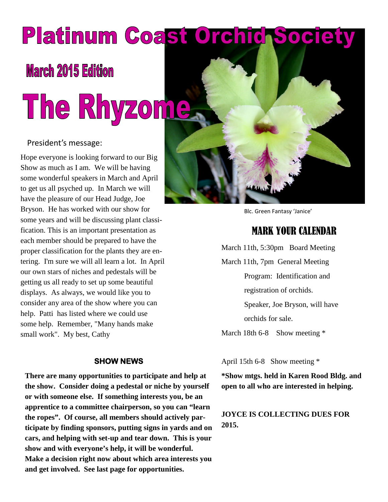# Platinum Coast Orchic Soc

# **March 2015 Edition**

# The Rhyzome

#### President's message:

Hope everyone is looking forward to our Big Show as much as I am. We will be having some wonderful speakers in March and April to get us all psyched up. In March we will have the pleasure of our Head Judge, Joe Bryson. He has worked with our show for some years and will be discussing plant classification. This is an important presentation as each member should be prepared to have the proper classification for the plants they are entering. I'm sure we will all learn a lot. In April our own stars of niches and pedestals will be getting us all ready to set up some beautiful displays. As always, we would like you to consider any area of the show where you can help. Patti has listed where we could use some help. Remember, "Many hands make small work". My best, Cathy

#### **SHOW NEWS**

**There are many opportunities to participate and help at the show. Consider doing a pedestal or niche by yourself or with someone else. If something interests you, be an apprentice to a committee chairperson, so you can "learn the ropes". Of course, all members should actively participate by finding sponsors, putting signs in yards and on cars, and helping with set-up and tear down. This is your show and with everyone's help, it will be wonderful. Make a decision right now about which area interests you and get involved. See last page for opportunities.**



Blc. Green Fantasy 'Janice'

### MARK YOUR CALENDAR

March 11th, 5:30pm Board Meeting March 11th, 7pm General Meeting Program: Identification and registration of orchids. Speaker, Joe Bryson, will have orchids for sale. March 18th 6-8 Show meeting  $*$ 

April 15th 6-8 Show meeting \*

**\*Show mtgs. held in Karen Rood Bldg. and open to all who are interested in helping.**

**JOYCE IS COLLECTING DUES FOR 2015.**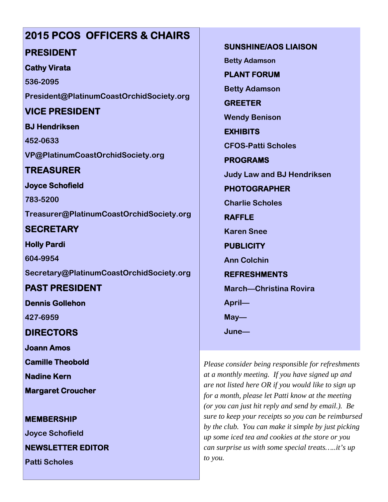# **2015 PCOS OFFICERS & CHAIRS**

#### **PRESIDENT**

#### **Cathy Virata**

**536-2095 President@PlatinumCoastOrchidSociety.org**

# **VICE PRESIDENT**

**BJ Hendriksen 452-0633**

**VP@PlatinumCoastOrchidSociety.org**

# **TREASURER**

**Joyce Schofield**

**783-5200 Treasurer@PlatinumCoastOrchidSociety.org**

# **SECRETARY**

**Holly Pardi 604-9954**

**Secretary@PlatinumCoastOrchidSociety.org**

# **PAST PRESIDENT**

**Dennis Gollehon**

**427-6959**

**DIRECTORS**

**Joann Amos**

**Camille Theobold**

**Nadine Kern**

**Margaret Croucher**

#### **MEMBERSHIP**

**Joyce Schofield**

**NEWSLETTER EDITOR**

**Patti Scholes**

**SUNSHINE/AOS LIAISON**

**Betty Adamson**

**PLANT FORUM**

**Betty Adamson**

**GREETER Wendy Benison**

**EXHIBITS**

**CFOS-Patti Scholes**

**PROGRAMS Judy Law and BJ Hendriksen**

**PHOTOGRAPHER**

**Charlie Scholes**

**RAFFLE**

**Karen Snee**

**PUBLICITY**

**Ann Colchin**

**REFRESHMENTS**

**March—Christina Rovira April—**

**May—**

**June—**

*Please consider being responsible for refreshments at a monthly meeting. If you have signed up and are not listed here OR if you would like to sign up for a month, please let Patti know at the meeting (or you can just hit reply and send by email.). Be sure to keep your receipts so you can be reimbursed by the club. You can make it simple by just picking up some iced tea and cookies at the store or you can surprise us with some special treats…..it's up to you.*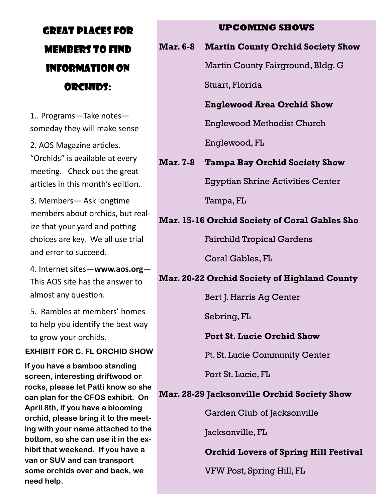# GREAT PLACES FOR MEMBERS TO FIND INFORMATION ON ORCHIDS:

1.. Programs—Take notes someday they will make sense

2. AOS Magazine articles. "Orchids" is available at every meeting. Check out the great articles in this month's edition.

3. Members - Ask longtime members about orchids, but realize that your yard and potting choices are key. We all use trial and error to succeed.

4. Internet sites—**www.aos.org**— This AOS site has the answer to almost any question.

5. Rambles at members' homes to help you identify the best way to grow your orchids.

#### **EXHIBIT FOR C. FL ORCHID SHOW**

**If you have a bamboo standing screen, interesting driftwood or rocks, please let Patti know so she can plan for the CFOS exhibit. On April 8th, if you have a blooming orchid, please bring it to the meeting with your name attached to the bottom, so she can use it in the exhibit that weekend. If you have a van or SUV and can transport some orchids over and back, we need help.**

#### **UPCOMING SHOWS**

#### **Mar. 6-8 Martin County Orchid Society Show**

Martin County Fairground, Bldg. G

Stuart, Florida

#### **Englewood Area Orchid Show**

Englewood Methodist Church

Englewood, FL

#### **Mar. 7-8 Tampa Bay Orchid Society Show**

Egyptian Shrine Activities Center

Tampa, FL

#### **Mar. 15-16 Orchid Society of Coral Gables Sho**

Fairchild Tropical Gardens

Coral Gables, FL

#### **Mar. 20-22 Orchid Society of Highland County**

Bert J. Harris Ag Center

Sebring, FL

#### **Port St. Lucie Orchid Show**

Pt. St. Lucie Community Center

Port St. Lucie, FL

#### **Mar. 28-29 Jacksonville Orchid Society Show**

Garden Club of Jacksonville

Jacksonville, FL

#### **Orchid Lovers of Spring Hill Festival**

VFW Post, Spring Hill, FL